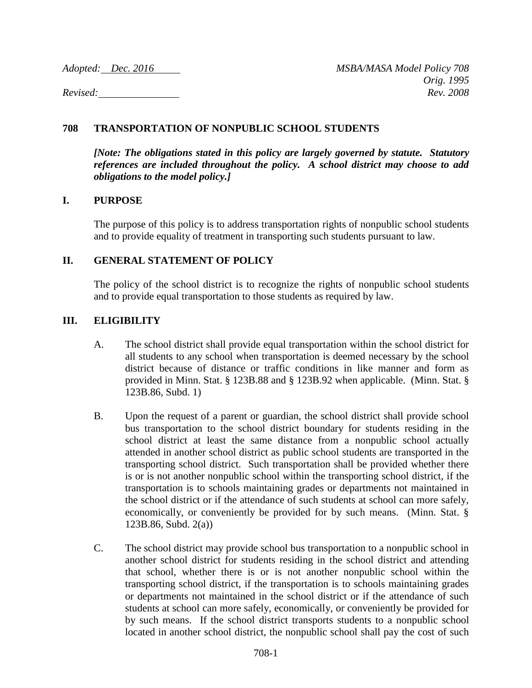*Adopted: Dec. 2016 MSBA/MASA Model Policy 708 Orig. 1995 Revised: Rev. 2008*

# **708 TRANSPORTATION OF NONPUBLIC SCHOOL STUDENTS**

*[Note: The obligations stated in this policy are largely governed by statute. Statutory references are included throughout the policy. A school district may choose to add obligations to the model policy.]*

## **I. PURPOSE**

The purpose of this policy is to address transportation rights of nonpublic school students and to provide equality of treatment in transporting such students pursuant to law.

## **II. GENERAL STATEMENT OF POLICY**

The policy of the school district is to recognize the rights of nonpublic school students and to provide equal transportation to those students as required by law.

# **III. ELIGIBILITY**

- A. The school district shall provide equal transportation within the school district for all students to any school when transportation is deemed necessary by the school district because of distance or traffic conditions in like manner and form as provided in Minn. Stat. § 123B.88 and § 123B.92 when applicable. (Minn. Stat. § 123B.86, Subd. 1)
- B. Upon the request of a parent or guardian, the school district shall provide school bus transportation to the school district boundary for students residing in the school district at least the same distance from a nonpublic school actually attended in another school district as public school students are transported in the transporting school district. Such transportation shall be provided whether there is or is not another nonpublic school within the transporting school district, if the transportation is to schools maintaining grades or departments not maintained in the school district or if the attendance of such students at school can more safely, economically, or conveniently be provided for by such means. (Minn. Stat. § 123B.86, Subd. 2(a))
- C. The school district may provide school bus transportation to a nonpublic school in another school district for students residing in the school district and attending that school, whether there is or is not another nonpublic school within the transporting school district, if the transportation is to schools maintaining grades or departments not maintained in the school district or if the attendance of such students at school can more safely, economically, or conveniently be provided for by such means. If the school district transports students to a nonpublic school located in another school district, the nonpublic school shall pay the cost of such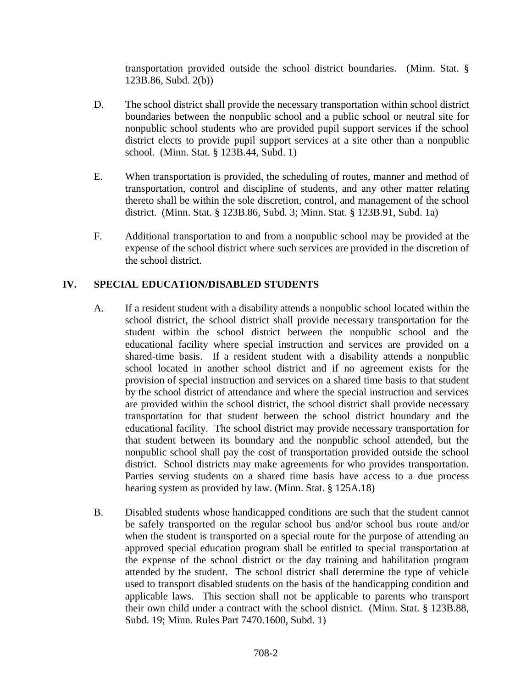transportation provided outside the school district boundaries. (Minn. Stat. § 123B.86, Subd. 2(b))

- D. The school district shall provide the necessary transportation within school district boundaries between the nonpublic school and a public school or neutral site for nonpublic school students who are provided pupil support services if the school district elects to provide pupil support services at a site other than a nonpublic school. (Minn. Stat. § 123B.44, Subd. 1)
- E. When transportation is provided, the scheduling of routes, manner and method of transportation, control and discipline of students, and any other matter relating thereto shall be within the sole discretion, control, and management of the school district. (Minn. Stat. § 123B.86, Subd. 3; Minn. Stat. § 123B.91, Subd. 1a)
- F. Additional transportation to and from a nonpublic school may be provided at the expense of the school district where such services are provided in the discretion of the school district.

# **IV. SPECIAL EDUCATION/DISABLED STUDENTS**

- A. If a resident student with a disability attends a nonpublic school located within the school district, the school district shall provide necessary transportation for the student within the school district between the nonpublic school and the educational facility where special instruction and services are provided on a shared-time basis. If a resident student with a disability attends a nonpublic school located in another school district and if no agreement exists for the provision of special instruction and services on a shared time basis to that student by the school district of attendance and where the special instruction and services are provided within the school district, the school district shall provide necessary transportation for that student between the school district boundary and the educational facility. The school district may provide necessary transportation for that student between its boundary and the nonpublic school attended, but the nonpublic school shall pay the cost of transportation provided outside the school district. School districts may make agreements for who provides transportation. Parties serving students on a shared time basis have access to a due process hearing system as provided by law. (Minn. Stat. § 125A.18)
- B. Disabled students whose handicapped conditions are such that the student cannot be safely transported on the regular school bus and/or school bus route and/or when the student is transported on a special route for the purpose of attending an approved special education program shall be entitled to special transportation at the expense of the school district or the day training and habilitation program attended by the student. The school district shall determine the type of vehicle used to transport disabled students on the basis of the handicapping condition and applicable laws. This section shall not be applicable to parents who transport their own child under a contract with the school district. (Minn. Stat. § 123B.88, Subd. 19; Minn. Rules Part 7470.1600, Subd. 1)